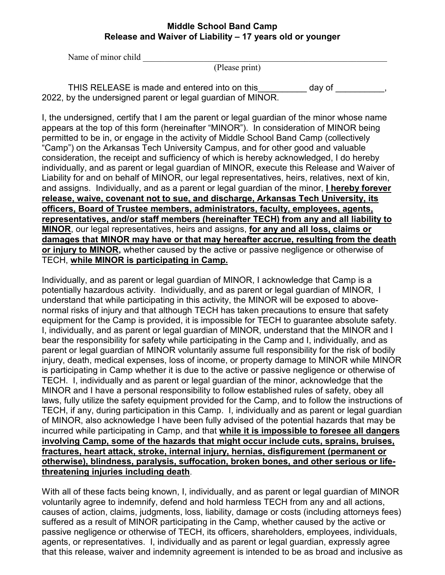## **Middle School Band Camp Release and Waiver of Liability – 17 years old or younger**

Name of minor child

(Please print)

THIS RELEASE is made and entered into on this\_\_\_\_\_\_\_\_\_\_\_ day of \_\_\_\_\_\_\_\_\_\_, 2022, by the undersigned parent or legal guardian of MINOR.

I, the undersigned, certify that I am the parent or legal guardian of the minor whose name appears at the top of this form (hereinafter "MINOR"). In consideration of MINOR being permitted to be in, or engage in the activity of Middle School Band Camp (collectively "Camp") on the Arkansas Tech University Campus, and for other good and valuable consideration, the receipt and sufficiency of which is hereby acknowledged, I do hereby individually, and as parent or legal guardian of MINOR, execute this Release and Waiver of Liability for and on behalf of MINOR, our legal representatives, heirs, relatives, next of kin, and assigns. Individually, and as a parent or legal guardian of the minor, **I hereby forever release, waive, covenant not to sue, and discharge, Arkansas Tech University, its officers, Board of Trustee members, administrators, faculty, employees, agents, representatives, and/or staff members (hereinafter TECH) from any and all liability to MINOR**, our legal representatives, heirs and assigns, **for any and all loss, claims or damages that MINOR may have or that may hereafter accrue, resulting from the death or injury to MINOR,** whether caused by the active or passive negligence or otherwise of TECH, **while MINOR is participating in Camp.**

Individually, and as parent or legal guardian of MINOR, I acknowledge that Camp is a potentially hazardous activity. Individually, and as parent or legal guardian of MINOR, I understand that while participating in this activity, the MINOR will be exposed to abovenormal risks of injury and that although TECH has taken precautions to ensure that safety equipment for the Camp is provided, it is impossible for TECH to guarantee absolute safety. I, individually, and as parent or legal guardian of MINOR, understand that the MINOR and I bear the responsibility for safety while participating in the Camp and I, individually, and as parent or legal guardian of MINOR voluntarily assume full responsibility for the risk of bodily injury, death, medical expenses, loss of income, or property damage to MINOR while MINOR is participating in Camp whether it is due to the active or passive negligence or otherwise of TECH. I, individually and as parent or legal guardian of the minor, acknowledge that the MINOR and I have a personal responsibility to follow established rules of safety, obey all laws, fully utilize the safety equipment provided for the Camp, and to follow the instructions of TECH, if any, during participation in this Camp. I, individually and as parent or legal guardian of MINOR, also acknowledge I have been fully advised of the potential hazards that may be incurred while participating in Camp, and that **while it is impossible to foresee all dangers involving Camp, some of the hazards that might occur include cuts, sprains, bruises, fractures, heart attack, stroke, internal injury, hernias, disfigurement (permanent or otherwise), blindness, paralysis, suffocation, broken bones, and other serious or lifethreatening injuries including death**.

With all of these facts being known, I, individually, and as parent or legal guardian of MINOR voluntarily agree to indemnify, defend and hold harmless TECH from any and all actions, causes of action, claims, judgments, loss, liability, damage or costs (including attorneys fees) suffered as a result of MINOR participating in the Camp, whether caused by the active or passive negligence or otherwise of TECH, its officers, shareholders, employees, individuals, agents, or representatives. I, individually and as parent or legal guardian, expressly agree that this release, waiver and indemnity agreement is intended to be as broad and inclusive as